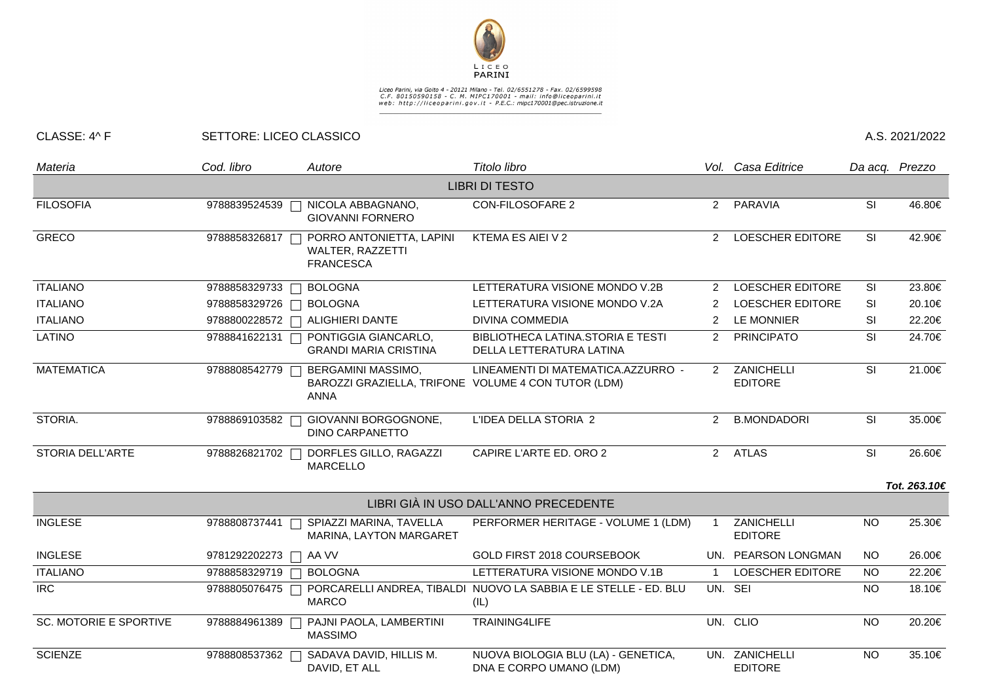

## Liceo Parini, via Goito 4 - 20121 Milano - Tel. 02/6551278 - Fax. 02/6599598<br>C.F. 80150590158 - C. M. MIPC170001 - mail: info@liceoparini.it<br>web: http://liceoparini.gov.it - P.E.C.: mipc170001@pec.istruzione.it

## CLASSE: 4^ F SETTORE: LICEO CLASSICO A.S. 2021/2022

| Materia                       | Cod. libro    | Autore                                                                                   | Titolo libro                                                             |                | Vol. Casa Editrice               | Da acq. Prezzo |              |
|-------------------------------|---------------|------------------------------------------------------------------------------------------|--------------------------------------------------------------------------|----------------|----------------------------------|----------------|--------------|
|                               |               |                                                                                          | <b>LIBRI DI TESTO</b>                                                    |                |                                  |                |              |
| <b>FILOSOFIA</b>              | 9788839524539 | NICOLA ABBAGNANO,<br><b>GIOVANNI FORNERO</b>                                             | <b>CON-FILOSOFARE 2</b>                                                  | 2              | PARAVIA                          | SI             | 46.80€       |
| <b>GRECO</b>                  | 9788858326817 | PORRO ANTONIETTA, LAPINI<br>WALTER, RAZZETTI<br><b>FRANCESCA</b>                         | KTEMA ES AIEI V 2                                                        | $\overline{2}$ | <b>LOESCHER EDITORE</b>          | <b>SI</b>      | 42.90€       |
| <b>ITALIANO</b>               | 9788858329733 | <b>BOLOGNA</b>                                                                           | LETTERATURA VISIONE MONDO V.2B                                           | 2              | LOESCHER EDITORE                 | SI             | 23.80€       |
| <b>ITALIANO</b>               | 9788858329726 | <b>BOLOGNA</b>                                                                           | LETTERATURA VISIONE MONDO V.2A                                           | 2              | LOESCHER EDITORE                 | <b>SI</b>      | 20.10€       |
| <b>ITALIANO</b>               |               | 9788800228572 □ ALIGHIERI DANTE                                                          | <b>DIVINA COMMEDIA</b>                                                   | 2              | LE MONNIER                       | SI             | 22.20€       |
| <b>LATINO</b>                 | 9788841622131 | PONTIGGIA GIANCARLO,<br><b>GRANDI MARIA CRISTINA</b>                                     | BIBLIOTHECA LATINA.STORIA E TESTI<br>DELLA LETTERATURA LATINA            | $\overline{2}$ | <b>PRINCIPATO</b>                | <b>SI</b>      | 24.70€       |
| <b>MATEMATICA</b>             | 9788808542779 | BERGAMINI MASSIMO,<br>BAROZZI GRAZIELLA, TRIFONE VOLUME 4 CON TUTOR (LDM)<br><b>ANNA</b> | LINEAMENTI DI MATEMATICA.AZZURRO -                                       | $\mathcal{P}$  | ZANICHELLI<br><b>EDITORE</b>     | <b>SI</b>      | 21.00€       |
| STORIA.                       | 9788869103582 | GIOVANNI BORGOGNONE,<br><b>DINO CARPANETTO</b>                                           | L'IDEA DELLA STORIA 2                                                    | $\overline{2}$ | <b>B.MONDADORI</b>               | <b>SI</b>      | 35.00€       |
| STORIA DELL'ARTE              | 9788826821702 | DORFLES GILLO, RAGAZZI<br><b>MARCELLO</b>                                                | CAPIRE L'ARTE ED. ORO 2                                                  |                | 2 ATLAS                          | SI             | 26.60€       |
|                               |               |                                                                                          |                                                                          |                |                                  |                | Tot. 263.10€ |
|                               |               |                                                                                          | LIBRI GIÀ IN USO DALL'ANNO PRECEDENTE                                    |                |                                  |                |              |
| <b>INGLESE</b>                | 9788808737441 | SPIAZZI MARINA, TAVELLA<br>MARINA, LAYTON MARGARET                                       | PERFORMER HERITAGE - VOLUME 1 (LDM)                                      |                | ZANICHELLI<br><b>EDITORE</b>     | <b>NO</b>      | 25.30€       |
| <b>INGLESE</b>                | 9781292202273 | AA VV                                                                                    | GOLD FIRST 2018 COURSEBOOK                                               |                | UN. PEARSON LONGMAN              | <b>NO</b>      | 26.00€       |
| <b>ITALIANO</b>               | 9788858329719 | <b>BOLOGNA</b>                                                                           | LETTERATURA VISIONE MONDO V.1B                                           | $\overline{1}$ | LOESCHER EDITORE                 | <b>NO</b>      | 22.20€       |
| $\overline{IRC}$              | 9788805076475 | <b>MARCO</b>                                                                             | PORCARELLI ANDREA, TIBALDI NUOVO LA SABBIA E LE STELLE - ED. BLU<br>(IL) |                | UN. SEI                          | <b>NO</b>      | 18.10€       |
| <b>SC. MOTORIE E SPORTIVE</b> | 9788884961389 | PAJNI PAOLA, LAMBERTINI<br><b>MASSIMO</b>                                                | TRAINING4LIFE                                                            |                | UN. CLIO                         | <b>NO</b>      | 20.20€       |
| <b>SCIENZE</b>                | 9788808537362 | SADAVA DAVID, HILLIS M.<br>DAVID, ET ALL                                                 | NUOVA BIOLOGIA BLU (LA) - GENETICA,<br>DNA E CORPO UMANO (LDM)           |                | UN. ZANICHELLI<br><b>EDITORE</b> | <b>NO</b>      | 35.10€       |